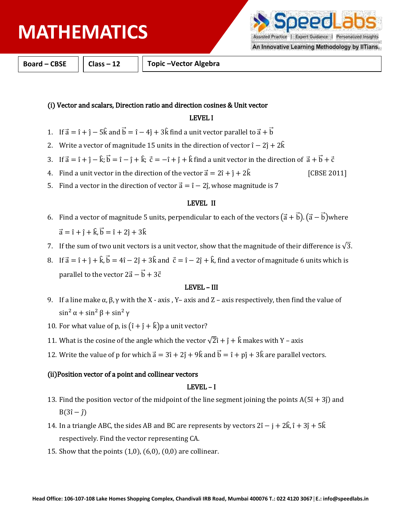# **PHYSICS MATHEMATICS**

**Personalized Insights Expert Guidance** 

An Innovative Learning Methodology by IITians.

**Board – CBSE Class – 12 Topic –Vector Algebra**

## (i) Vector and scalars, Direction ratio and direction cosines & Unit vector

## LEVEL I

- 1. If  $\vec{a} = \hat{i} + \hat{j} 5\hat{k}$  and  $\vec{b} = \hat{i} 4\hat{j} + 3\hat{k}$  find a unit vector parallel to  $\vec{a} + \vec{b}$
- 2. Write a vector of magnitude 15 units in the direction of vector î 2ĵ + 2 $\hat{k}$
- 3. If  $\vec{a} = \hat{i} + \hat{j} \hat{k}$ ;  $\vec{b} = \hat{i} \hat{j} + \hat{k}$ ;  $\vec{c} = -\hat{i} + \hat{j} + \hat{k}$  find a unit vector in the direction of  $\vec{a} + \vec{b} + \vec{c}$
- 4. Find a unit vector in the direction of the vector  $\vec{a} = 2\hat{i} + \hat{j} + 2\hat{k}$  [CBSE 2011]
- 5. Find a vector in the direction of vector  $\vec{a} = \hat{i} 2\hat{j}$ , whose magnitude is 7

### LEVEL II

- 6. Find a vector of magnitude 5 units, perpendicular to each of the vectors  $(\vec{a} + \vec{b})$ .  $(\vec{a} \vec{b})$  where  $\vec{a} = \hat{i} + \hat{j} + \hat{k}, \vec{b} = \hat{i} + 2\hat{j} + 3\hat{k}$
- 7. If the sum of two unit vectors is a unit vector, show that the magnitude of their difference is  $\sqrt{3}$ .
- 8. If  $\vec{a} = \hat{i} + \hat{j} + \hat{k}$ ,  $\vec{b} = 4\hat{i} 2\hat{j} + 3\hat{k}$  and  $\vec{c} = \hat{i} 2\hat{j} + \hat{k}$ , find a vector of magnitude 6 units which is parallel to the vector  $2\vec{a} - \vec{b} + 3\vec{c}$

#### LEVEL – III

- 9. If a line make  $\alpha$ ,  $\beta$ ,  $\gamma$  with the X axis , Y- axis and Z axis respectively, then find the value of  $\sin^2 \alpha + \sin^2 \beta + \sin^2 \gamma$
- 10. For what value of p, is  $(\hat{i} + \hat{j} + \hat{k})p$  a unit vector?
- 11. What is the cosine of the angle which the vector  $\sqrt{2}i + \hat{i} + \hat{k}$  makes with Y axis
- 12. Write the value of p for which  $\vec{a} = 3\hat{i} + 2\hat{j} + 9\hat{k}$  and  $\vec{b} = \hat{i} + p\hat{j} + 3\hat{k}$  are parallel vectors.

### (ii)Position vector of a point and collinear vectors

#### LEVEL – I

- 13. Find the position vector of the midpoint of the line segment joining the points  $A(5\hat{i}+3\hat{j})$  and  $B(3\hat{i}-\hat{j})$
- 14. In a triangle ABC, the sides AB and BC are represents by vectors  $2\hat{i} \hat{j} + 2\hat{k}$ ,  $\hat{i} + 3\hat{j} + 5\hat{k}$ respectively. Find the vector representing CA.
- 15. Show that the points (1,0), (6,0), (0,0) are collinear.